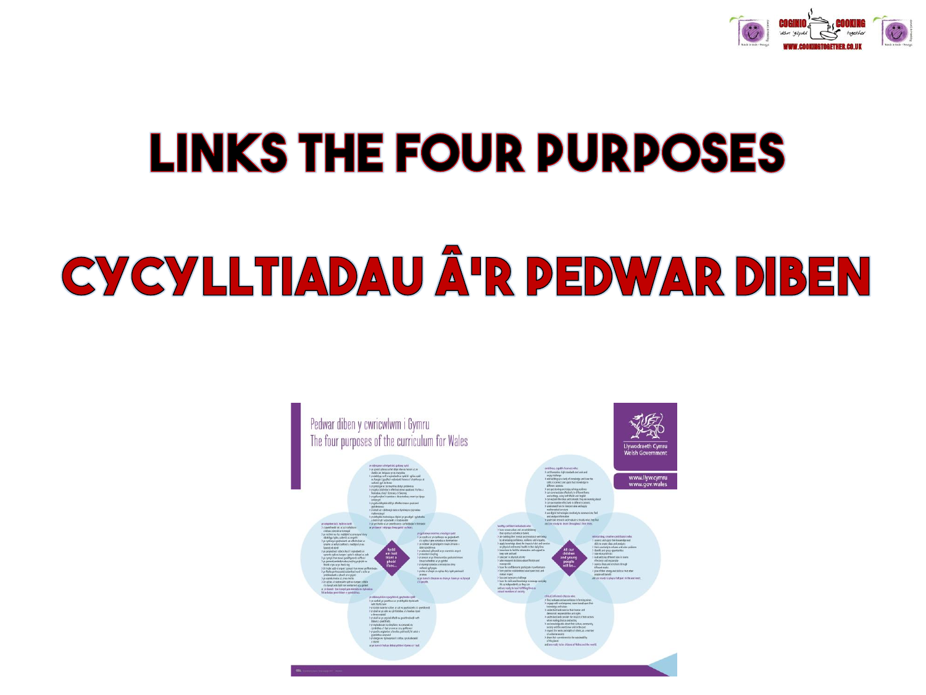

# **LINKS THE FOUR PURPOSES**

# CYCYLLTIADAU Â'R PEDWAR DIBEN

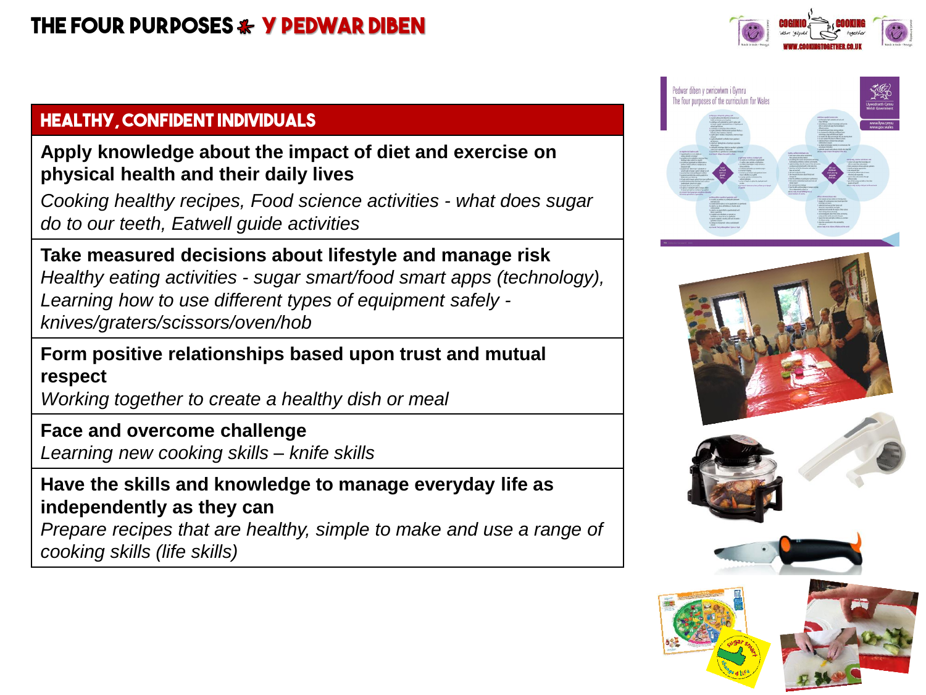

#### **Healthy, confident individuals**

#### **Apply knowledge about the impact of diet and exercise on physical health and their daily lives**

*Cooking healthy recipes, Food science activities - what does sugar do to our teeth, Eatwell guide activities*

**Take measured decisions about lifestyle and manage risk**  *Healthy eating activities - sugar smart/food smart apps (technology), Learning how to use different types of equipment safely knives/graters/scissors/oven/hob* 

**Form positive relationships based upon trust and mutual respect**

*Working together to create a healthy dish or meal* 

#### **Face and overcome challenge**

*Learning new cooking skills – knife skills* 

#### **Have the skills and knowledge to manage everyday life as independently as they can**

*Prepare recipes that are healthy, simple to make and use a range of cooking skills (life skills)* 





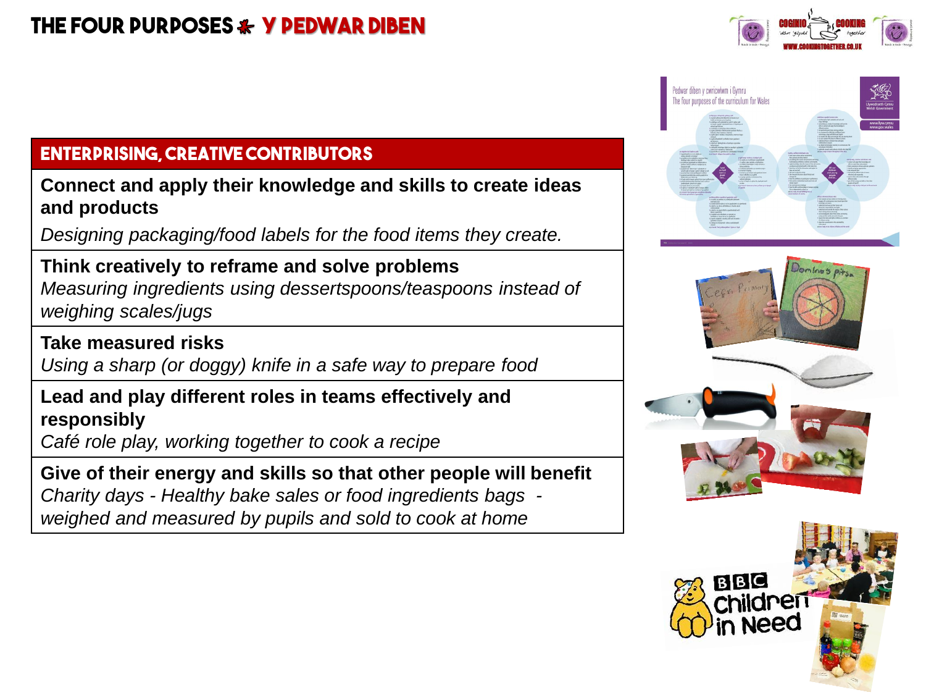# **The four purposes y pedwar Diben**

# **Enterprising, creative contributors**

**Connect and apply their knowledge and skills to create ideas and products** 

*Designing packaging/food labels for the food items they create.*

#### **Think creatively to reframe and solve problems**  *Measuring ingredients using dessertspoons/teaspoons instead of weighing scales/jugs*

**Take measured risks**

*Using a sharp (or doggy) knife in a safe way to prepare food*

### **Lead and play different roles in teams effectively and responsibly**

*Café role play, working together to cook a recipe* 

**Give of their energy and skills so that other people will benefit** *Charity days - Healthy bake sales or food ingredients bags weighed and measured by pupils and sold to cook at home*